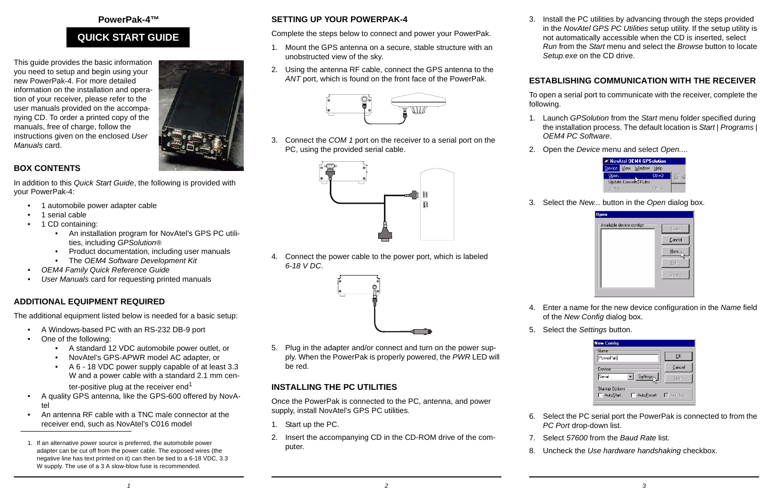#### **PowerPak-4™**

# **QUICK START GUIDE**

This guide provides the basic information you need to setup and begin using your new PowerPak-4. For more detailed information on the installation and operation of your receiver, please refer to the user manuals provided on the accompanying CD. To order a printed copy of the manuals, free of charge, follow the instructions given on the enclosed *User Manuals* card.



### **BOX CONTENTS**

In addition to this *Quick Start Guide*, the following is provided with your PowerPak-4:

- •1 automobile power adapter cable
- •1 serial cable
- • 1 CD containing:
	- An installation program for NovAtel's GPS PC utilities, including *GPSolution®*
	- •Product documentation, including user manuals
	- The *OEM4 Software Development Kit*
- *• OEM4 Family Quick Reference Guide*
- *• User Manuals* card for requesting printed manuals

### **ADDITIONAL EQUIPMENT REQUIRED**

The additional equipment listed below is needed for a basic setup:

- •A Windows-based PC with an RS-232 DB-9 port
- • One of the following:
	- A standard 12 VDC automobile power outlet, or
	- NovAtel's GPS-APWR model AC adapter, or
	- A 6 18 VDC power supply capable of at least 3.3 W and a power cable with a standard 2.1 mm center-positive plug at the receiver end<sup>1</sup>
- • A quality GPS antenna, like the GPS-600 offered by NovAtel
- • An antenna RF cable with a TNC male connector at the receiver end, such as NovAtel's C016 model
- 1. If an alternative power source is preferred, the automobile power adapter can be cut off from the power cable. The exposed wires (the negative line has text printed on it) can then be tied to a 6-18 VDC, 3.3 W supply. The use of a 3 A slow-blow fuse is recommended.

# **SETTING UP YOUR POWERPAK-4**

Complete the steps below to connect and power your PowerPak.

- 1. Mount the GPS antenna on a secure, stable structure with an unobstructed view of the sky.
- 2. Using the antenna RF cable, connect the GPS antenna to the *ANT* port, which is found on the front face of the PowerPak.



3. Connect the *COM 1* port on the receiver to a serial port on the PC, using the provided serial cable.

4. Connect the power cable to the power port, which is labeled *6-18 V DC*.



5. Plug in the adapter and/or connect and turn on the power supply. When the PowerPak is properly powered, the *PWR* LED will be red.

## **INSTALLING THE PC UTILITIES**

Once the PowerPak is connected to the PC, antenna, and power supply, install NovAtel's GPS PC utilities*.*

- 1. Start up the PC.
- 2. Insert the accompanying CD in the CD-ROM drive of the computer.

3. Install the PC utilities by advancing through the steps provided in the *NovAtel GPS PC Utilities* setup utility. If the setup utility is not automatically accessible when the CD is inserted, select *Run* from the *Start* menu and select the *Browse* button to locate *Setup.exe* on the CD drive.

## **ESTABLISHING COMMUNICATION WITH THE RECEIVER**

To open a serial port to communicate with the receiver, complete the following.

- 1. Launch *GPSolution* from the *Start* menu folder specified during the installation process. The default location is *Start* | *Programs* | *OEM4 PC Software*.
- 2. Open the *Device* menu and select *Open....*

| <b>NovAtel OEM4 GPSolution</b> |  |                    |        |  |
|--------------------------------|--|--------------------|--------|--|
|                                |  | Device View Window | Help   |  |
| Open                           |  |                    | Ctrl+O |  |
| Update Convert Rules           |  |                    |        |  |
| <b>Status</b>                  |  |                    | Ctrl+S |  |

3. Select the *New...* button in the *Open* dialog box.



- 4. Enter a name for the new device configuration in the *Name* field of the *New Config* dialog box.
- 5. Select the *Settings* button.

| <b>New Config</b>                                |                |
|--------------------------------------------------|----------------|
| Name<br>PowerPak                                 | OK             |
| Device                                           | Cancel         |
| Serial<br>Settings                               | Help           |
| <b>Startup Options</b><br>AutoReset<br>AutoStart | $\Box$ AutoLog |

- 6. Select the PC serial port the PowerPak is connected to from the *PC Port* drop-down list.
- 7. Select *57600* from the *Baud Rate* list.
- 8. Uncheck the *Use hardware handshaking* checkbox.

*2 3*